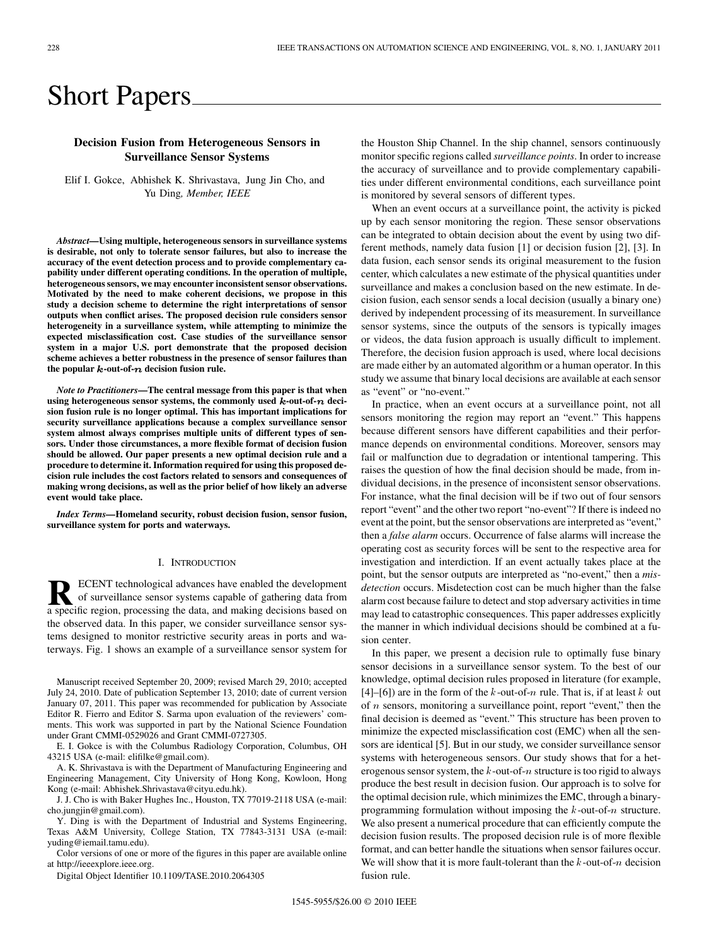# Short Papers

## **Decision Fusion from Heterogeneous Sensors in Surveillance Sensor Systems**

Elif I. Gokce, Abhishek K. Shrivastava, Jung Jin Cho, and Yu Ding*, Member, IEEE*

*Abstract—***Using multiple, heterogeneous sensors in surveillance systems is desirable, not only to tolerate sensor failures, but also to increase the accuracy of the event detection process and to provide complementary capability under different operating conditions. In the operation of multiple, heterogeneous sensors, we may encounter inconsistent sensor observations. Motivated by the need to make coherent decisions, we propose in this study a decision scheme to determine the right interpretations of sensor outputs when conflict arises. The proposed decision rule considers sensor heterogeneity in a surveillance system, while attempting to minimize the expected misclassification cost. Case studies of the surveillance sensor system in a major U.S. port demonstrate that the proposed decision scheme achieves a better robustness in the presence of sensor failures than** the popular  $k$ -out-of- $n$  decision fusion rule.

*Note to Practitioners***—The central message from this paper is that when** using heterogeneous sensor systems, the commonly used  $k$ -out-of- $n$  deci**sion fusion rule is no longer optimal. This has important implications for security surveillance applications because a complex surveillance sensor system almost always comprises multiple units of different types of sensors. Under those circumstances, a more flexible format of decision fusion should be allowed. Our paper presents a new optimal decision rule and a procedure to determine it. Information required for using this proposed decision rule includes the cost factors related to sensors and consequences of making wrong decisions, as well as the prior belief of how likely an adverse event would take place.**

*Index Terms—***Homeland security, robust decision fusion, sensor fusion, surveillance system for ports and waterways.**

#### I. INTRODUCTION

**R** ECENT technological advances have enabled the development of surveillance sensor systems capable of gathering data from a specific region, processing the data, and making decisions based on the observed data. In this paper, we consider surveillance sensor systems designed to monitor restrictive security areas in ports and waterways. Fig. 1 shows an example of a surveillance sensor system for

Manuscript received September 20, 2009; revised March 29, 2010; accepted July 24, 2010. Date of publication September 13, 2010; date of current version January 07, 2011. This paper was recommended for publication by Associate Editor R. Fierro and Editor S. Sarma upon evaluation of the reviewers' comments. This work was supported in part by the National Science Foundation under Grant CMMI-0529026 and Grant CMMI-0727305.

E. I. Gokce is with the Columbus Radiology Corporation, Columbus, OH 43215 USA (e-mail: elifilke@gmail.com).

A. K. Shrivastava is with the Department of Manufacturing Engineering and Engineering Management, City University of Hong Kong, Kowloon, Hong Kong (e-mail: Abhishek.Shrivastava@cityu.edu.hk).

J. J. Cho is with Baker Hughes Inc., Houston, TX 77019-2118 USA (e-mail: cho.jungjin@gmail.com).

Y. Ding is with the Department of Industrial and Systems Engineering, Texas A&M University, College Station, TX 77843-3131 USA (e-mail: yuding@iemail.tamu.edu).

Color versions of one or more of the figures in this paper are available online at http://ieeexplore.ieee.org.

Digital Object Identifier 10.1109/TASE.2010.2064305

the Houston Ship Channel. In the ship channel, sensors continuously monitor specific regions called *surveillance points*. In order to increase the accuracy of surveillance and to provide complementary capabilities under different environmental conditions, each surveillance point is monitored by several sensors of different types.

When an event occurs at a surveillance point, the activity is picked up by each sensor monitoring the region. These sensor observations can be integrated to obtain decision about the event by using two different methods, namely data fusion [1] or decision fusion [2], [3]. In data fusion, each sensor sends its original measurement to the fusion center, which calculates a new estimate of the physical quantities under surveillance and makes a conclusion based on the new estimate. In decision fusion, each sensor sends a local decision (usually a binary one) derived by independent processing of its measurement. In surveillance sensor systems, since the outputs of the sensors is typically images or videos, the data fusion approach is usually difficult to implement. Therefore, the decision fusion approach is used, where local decisions are made either by an automated algorithm or a human operator. In this study we assume that binary local decisions are available at each sensor as "event" or "no-event."

In practice, when an event occurs at a surveillance point, not all sensors monitoring the region may report an "event." This happens because different sensors have different capabilities and their performance depends on environmental conditions. Moreover, sensors may fail or malfunction due to degradation or intentional tampering. This raises the question of how the final decision should be made, from individual decisions, in the presence of inconsistent sensor observations. For instance, what the final decision will be if two out of four sensors report "event" and the other two report "no-event"? If there is indeed no event at the point, but the sensor observations are interpreted as "event," then a *false alarm* occurs. Occurrence of false alarms will increase the operating cost as security forces will be sent to the respective area for investigation and interdiction. If an event actually takes place at the point, but the sensor outputs are interpreted as "no-event," then a *misdetection* occurs. Misdetection cost can be much higher than the false alarm cost because failure to detect and stop adversary activities in time may lead to catastrophic consequences. This paper addresses explicitly the manner in which individual decisions should be combined at a fusion center.

In this paper, we present a decision rule to optimally fuse binary sensor decisions in a surveillance sensor system. To the best of our knowledge, optimal decision rules proposed in literature (for example, [4]–[6]) are in the form of the  $k$ -out-of- $n$  rule. That is, if at least  $k$  out of  $n$  sensors, monitoring a surveillance point, report "event," then the final decision is deemed as "event." This structure has been proven to minimize the expected misclassification cost (EMC) when all the sensors are identical [5]. But in our study, we consider surveillance sensor systems with heterogeneous sensors. Our study shows that for a heterogenous sensor system, the  $k$ -out-of- $n$  structure is too rigid to always produce the best result in decision fusion. Our approach is to solve for the optimal decision rule, which minimizes the EMC, through a binaryprogramming formulation without imposing the  $k$ -out-of- $n$  structure. We also present a numerical procedure that can efficiently compute the decision fusion results. The proposed decision rule is of more flexible format, and can better handle the situations when sensor failures occur. We will show that it is more fault-tolerant than the  $k$ -out-of- $n$  decision fusion rule.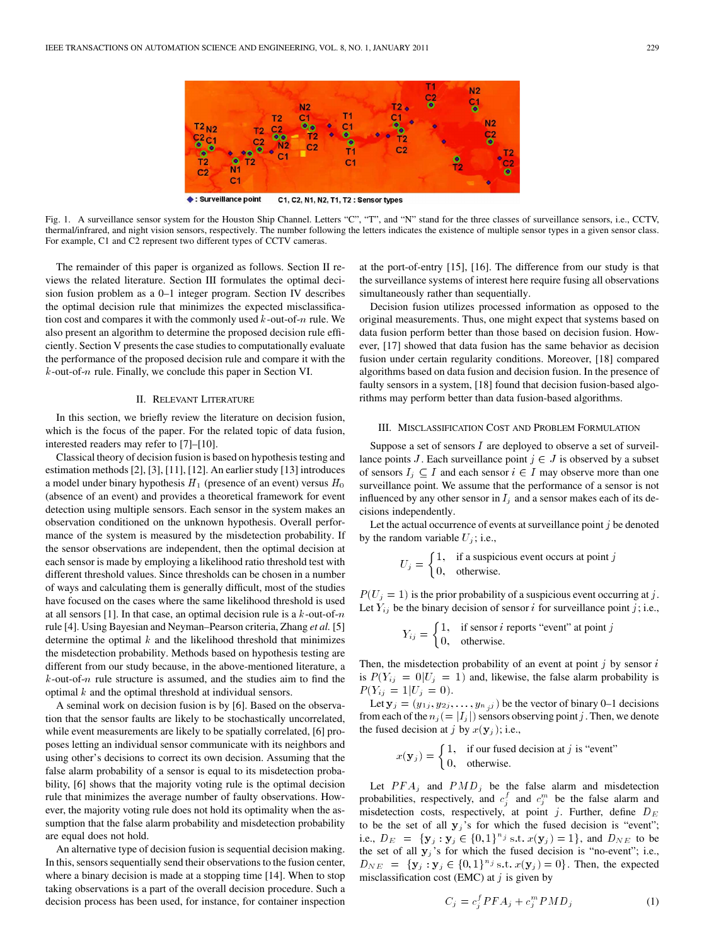

Surveillance point C1, C2, N1, N2, T1, T2 : Sensor types

Fig. 1. A surveillance sensor system for the Houston Ship Channel. Letters "C", "T", and "N" stand for the three classes of surveillance sensors, i.e., CCTV, thermal/infrared, and night vision sensors, respectively. The number following the letters indicates the existence of multiple sensor types in a given sensor class. For example, C1 and C2 represent two different types of CCTV cameras.

The remainder of this paper is organized as follows. Section II reviews the related literature. Section III formulates the optimal decision fusion problem as a 0–1 integer program. Section IV describes the optimal decision rule that minimizes the expected misclassification cost and compares it with the commonly used  $k$ -out-of- $n$  rule. We also present an algorithm to determine the proposed decision rule efficiently. Section V presents the case studies to computationally evaluate the performance of the proposed decision rule and compare it with the  $k$ -out-of- $n$  rule. Finally, we conclude this paper in Section VI.

### II. RELEVANT LITERATURE

In this section, we briefly review the literature on decision fusion, which is the focus of the paper. For the related topic of data fusion, interested readers may refer to [7]–[10].

Classical theory of decision fusion is based on hypothesis testing and estimation methods [2], [3], [11], [12]. An earlier study [13] introduces a model under binary hypothesis  $H_1$  (presence of an event) versus  $H_0$ (absence of an event) and provides a theoretical framework for event detection using multiple sensors. Each sensor in the system makes an observation conditioned on the unknown hypothesis. Overall performance of the system is measured by the misdetection probability. If the sensor observations are independent, then the optimal decision at each sensor is made by employing a likelihood ratio threshold test with different threshold values. Since thresholds can be chosen in a number of ways and calculating them is generally difficult, most of the studies have focused on the cases where the same likelihood threshold is used at all sensors [1]. In that case, an optimal decision rule is a  $k$ -out-of- $n$ rule [4]. Using Bayesian and Neyman–Pearson criteria, Zhang *et al.* [5] determine the optimal  $k$  and the likelihood threshold that minimizes the misdetection probability. Methods based on hypothesis testing are different from our study because, in the above-mentioned literature, a  $k$ -out-of- $n$  rule structure is assumed, and the studies aim to find the optimal  $k$  and the optimal threshold at individual sensors.

A seminal work on decision fusion is by [6]. Based on the observation that the sensor faults are likely to be stochastically uncorrelated, while event measurements are likely to be spatially correlated, [6] proposes letting an individual sensor communicate with its neighbors and using other's decisions to correct its own decision. Assuming that the false alarm probability of a sensor is equal to its misdetection probability, [6] shows that the majority voting rule is the optimal decision rule that minimizes the average number of faulty observations. However, the majority voting rule does not hold its optimality when the assumption that the false alarm probability and misdetection probability are equal does not hold.

An alternative type of decision fusion is sequential decision making. In this, sensors sequentially send their observations to the fusion center, where a binary decision is made at a stopping time [14]. When to stop taking observations is a part of the overall decision procedure. Such a decision process has been used, for instance, for container inspection at the port-of-entry [15], [16]. The difference from our study is that the surveillance systems of interest here require fusing all observations simultaneously rather than sequentially.

Decision fusion utilizes processed information as opposed to the original measurements. Thus, one might expect that systems based on data fusion perform better than those based on decision fusion. However, [17] showed that data fusion has the same behavior as decision fusion under certain regularity conditions. Moreover, [18] compared algorithms based on data fusion and decision fusion. In the presence of faulty sensors in a system, [18] found that decision fusion-based algorithms may perform better than data fusion-based algorithms.

## III. MISCLASSIFICATION COST AND PROBLEM FORMULATION

Suppose a set of sensors  $I$  are deployed to observe a set of surveillance points J. Each surveillance point  $j \in J$  is observed by a subset of sensors  $I_j \subseteq I$  and each sensor  $i \in I$  may observe more than one surveillance point. We assume that the performance of a sensor is not influenced by any other sensor in  $I_i$  and a sensor makes each of its decisions independently.

Let the actual occurrence of events at surveillance point  $j$  be denoted by the random variable  $U_j$ ; i.e.,

$$
U_j = \begin{cases} 1, & \text{if a suspicious event occurs at point } j \\ 0, & \text{otherwise.} \end{cases}
$$

 $P(U_j = 1)$  is the prior probability of a suspicious event occurring at j. Let  $Y_{ij}$  be the binary decision of sensor *i* for surveillance point *j*; i.e.,

$$
Y_{ij} = \begin{cases} 1, & \text{if sensor } i \text{ reports "event" at point } j \\ 0, & \text{otherwise.} \end{cases}
$$

Then, the misdetection probability of an event at point  $j$  by sensor  $i$ is  $P(Y_{ij} = 0 | U_j = 1)$  and, likewise, the false alarm probability is  $P(Y_{ij} = 1 | U_j = 0).$ 

Let  $y_j = (y_{1j}, y_{2j}, \dots, y_{n j})$  be the vector of binary 0–1 decisions from each of the  $n_j (= |I_j|)$  sensors observing point j. Then, we denote the fused decision at j by  $x(\mathbf{y}_i)$ ; i.e.,

$$
x(\mathbf{y}_j) = \begin{cases} 1, & \text{if our fused decision at } j \text{ is "event"}\\ 0, & \text{otherwise.} \end{cases}
$$

Let  $PFA_j$  and  $PMD_j$  be the false alarm and misdetection probabilities, respectively, and  $c_j^f$  and  $c_j^m$  be the false alarm and misdetection costs, respectively, at point j. Further, define  $D_E$ to be the set of all  $y_i$ 's for which the fused decision is "event"; i.e.,  $D_E = {\mathbf{y}_j : \mathbf{y}_j \in \{0,1\}^{n_j} \text{ s.t. } x(\mathbf{y}_j) = 1\}, \text{ and } D_{NE} \text{ to be }$ the set of all  $y_j$ 's for which the fused decision is "no-event"; i.e.,  $D_{NE} = \{y_j : y_j \in \{0,1\}^{n_j} \text{ s.t. } x(y_j) = 0\}.$  Then, the expected misclassification cost (EMC) at  $j$  is given by

$$
C_j = c_j^f PFA_j + c_j^m PMD_j \tag{1}
$$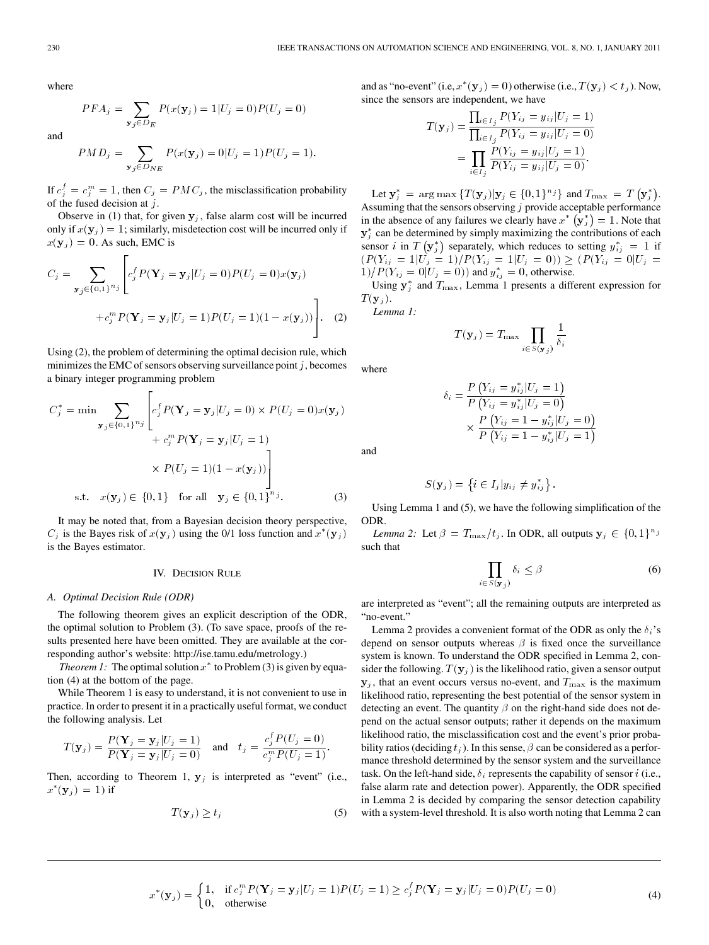where

$$
PFA_j = \sum_{\mathbf{y}_j \in D_E} P(x(\mathbf{y}_j) = 1 | U_j = 0) P(U_j = 0)
$$

and

$$
PMD_j = \sum_{\mathbf{y}_j \in D_{NE}} P(x(\mathbf{y}_j) = 0 | U_j = 1) P(U_j = 1).
$$

If  $c_j^f = c_j^m = 1$ , then  $C_j = PMC_j$ , the misclassification probability of the fused decision at  $j$ .

Observe in (1) that, for given  $y_j$ , false alarm cost will be incurred only if  $x(y_j) = 1$ ; similarly, misdetection cost will be incurred only if  $x(\mathbf{y}_j) = 0$ . As such, EMC is

$$
C_j = \sum_{\mathbf{y}_j \in \{0,1\}^{n_j}} \left[ c_j^f P(\mathbf{Y}_j = \mathbf{y}_j | U_j = 0) P(U_j = 0) x(\mathbf{y}_j) + c_j^m P(\mathbf{Y}_j = \mathbf{y}_j | U_j = 1) P(U_j = 1) (1 - x(\mathbf{y}_j)) \right].
$$
 (2)

Using (2), the problem of determining the optimal decision rule, which minimizes the EMC of sensors observing surveillance point  $j$ , becomes a binary integer programming problem

 $\blacksquare$ 

$$
C_j^* = \min \sum_{\mathbf{y}_j \in \{0,1\}^{n_j}} \left[ c_j^f P(\mathbf{Y}_j = \mathbf{y}_j | U_j = 0) \times P(U_j = 0) x(\mathbf{y}_j) + c_j^m P(\mathbf{Y}_j = \mathbf{y}_j | U_j = 1) \right]
$$
  
 
$$
\times P(U_j = 1)(1 - x(\mathbf{y}_j)) \Bigg]
$$
  
s.t.  $x(\mathbf{y}_j) \in \{0,1\}$  for all  $\mathbf{y}_j \in \{0,1\}^{n_j}.$  (3)

It may be noted that, from a Bayesian decision theory perspective,  $C_j$  is the Bayes risk of  $x(y_j)$  using the 0/1 loss function and  $x^*(y_j)$ is the Bayes estimator.

#### IV. DECISION RULE

### *A. Optimal Decision Rule (ODR)*

The following theorem gives an explicit description of the ODR, the optimal solution to Problem (3). (To save space, proofs of the results presented here have been omitted. They are available at the corresponding author's website: http://ise.tamu.edu/metrology.)

*Theorem 1:* The optimal solution  $x^*$  to Problem (3) is given by equation (4) at the bottom of the page.

While Theorem 1 is easy to understand, it is not convenient to use in practice. In order to present it in a practically useful format, we conduct the following analysis. Let

$$
T(\mathbf{y}_j) = \frac{P(\mathbf{Y}_j = \mathbf{y}_j | U_j = 1)}{P(\mathbf{Y}_j = \mathbf{y}_j | U_j = 0)} \quad \text{and} \quad t_j = \frac{c_j^f P(U_j = 0)}{c_j^m P(U_j = 1)}.
$$

Then, according to Theorem 1,  $y_j$  is interpreted as "event" (i.e.,  $x^*(y_j) = 1$ ) if

$$
T(\mathbf{y}_j) \ge t_j \tag{5}
$$

and as "no-event" (i.e,  $x^*(y_j) = 0$ ) otherwise (i.e.,  $T(y_j) < t_j$ ). Now, since the sensors are independent, we have

$$
T(\mathbf{y}_j) = \frac{\prod_{i \in I_j} P(Y_{ij} = y_{ij} | U_j = 1)}{\prod_{i \in I_j} P(Y_{ij} = y_{ij} | U_j = 0)}
$$
  
= 
$$
\prod_{i \in I_j} \frac{P(Y_{ij} = y_{ij} | U_j = 1)}{P(Y_{ij} = y_{ij} | U_j = 0)}.
$$

Let  $\mathbf{y}_j^* = \arg \max \{ T(\mathbf{y}_j) | \mathbf{y}_j \in \{0, 1\}^{n_j} \}$  and  $T_{\max} = T(\mathbf{y}_j^*)$ . Assuming that the sensors observing  $j$  provide acceptable performance in the absence of any failures we clearly have  $x^*$   $(\mathbf{y}_j^*) = 1$ . Note that  $y_j^*$  can be determined by simply maximizing the contributions of each sensor *i* in  $T(\mathbf{y}_j^*)$  separately, which reduces to setting  $y_{ij}^* = 1$  if  $(P(Y_{ij} = 1 | U_j = 1) / P(Y_{ij} = 1 | U_j = 0)) \ge (P(Y_{ij} = 0 | U_j = 1))$  $1)/P(Y_{ij} = 0|U_j = 0)$  and  $y_{ij}^* = 0$ , otherwise.

Using  $y_j^*$  and  $T_{\text{max}}$ , Lemma 1 presents a different expression for  $T(\mathbf y_j).$ *Lemma 1:*

$$
T(\mathbf{y}_j) = T_{\max} \prod
$$

where

and

$$
\delta_i = \frac{P(Y_{ij} = y_{ij}^* | U_j = 1)}{P(Y_{ij} = y_{ij}^* | U_j = 0)}
$$

$$
\times \frac{P(Y_{ij} = 1 - y_{ij}^* | U_j = 0)}{P(Y_{ij} = 1 - y_{ij}^* | U_j = 1)}
$$

 $i\in S(\mathbf{y}_i)$ 

 $\mathbf{1}$  $\delta_i$ 

$$
S(\mathbf{y}_j) = \left\{ i \in I_j | y_{ij} \neq y_{ij}^* \right\}.
$$

Using Lemma 1 and (5), we have the following simplification of the ODR.

*Lemma 2:* Let  $\beta = T_{\text{max}}/t_j$ . In ODR, all outputs  $\mathbf{y}_j \in \{0,1\}^n$ such that

$$
\prod_{i \in S(\mathbf{y}_j)} \delta_i \le \beta \tag{6}
$$

are interpreted as "event"; all the remaining outputs are interpreted as "no-event."

Lemma 2 provides a convenient format of the ODR as only the  $\delta_i$ 's depend on sensor outputs whereas  $\beta$  is fixed once the surveillance system is known. To understand the ODR specified in Lemma 2, consider the following.  $T(\mathbf{y}_j)$  is the likelihood ratio, given a sensor output  $\mathbf{y}_j$ , that an event occurs versus no-event, and  $T_{\text{max}}$  is the maximum likelihood ratio, representing the best potential of the sensor system in detecting an event. The quantity  $\beta$  on the right-hand side does not depend on the actual sensor outputs; rather it depends on the maximum likelihood ratio, the misclassification cost and the event's prior probability ratios (deciding  $t_j$ ). In this sense,  $\beta$  can be considered as a performance threshold determined by the sensor system and the surveillance task. On the left-hand side,  $\delta_i$  represents the capability of sensor *i* (i.e., false alarm rate and detection power). Apparently, the ODR specified in Lemma 2 is decided by comparing the sensor detection capability with a system-level threshold. It is also worth noting that Lemma 2 can

$$
x^*(\mathbf{y}_j) = \begin{cases} 1, & \text{if } c_j^m P(\mathbf{Y}_j = \mathbf{y}_j | U_j = 1) P(U_j = 1) \ge c_j^f P(\mathbf{Y}_j = \mathbf{y}_j | U_j = 0) P(U_j = 0) \\ 0, & \text{otherwise} \end{cases} \tag{4}
$$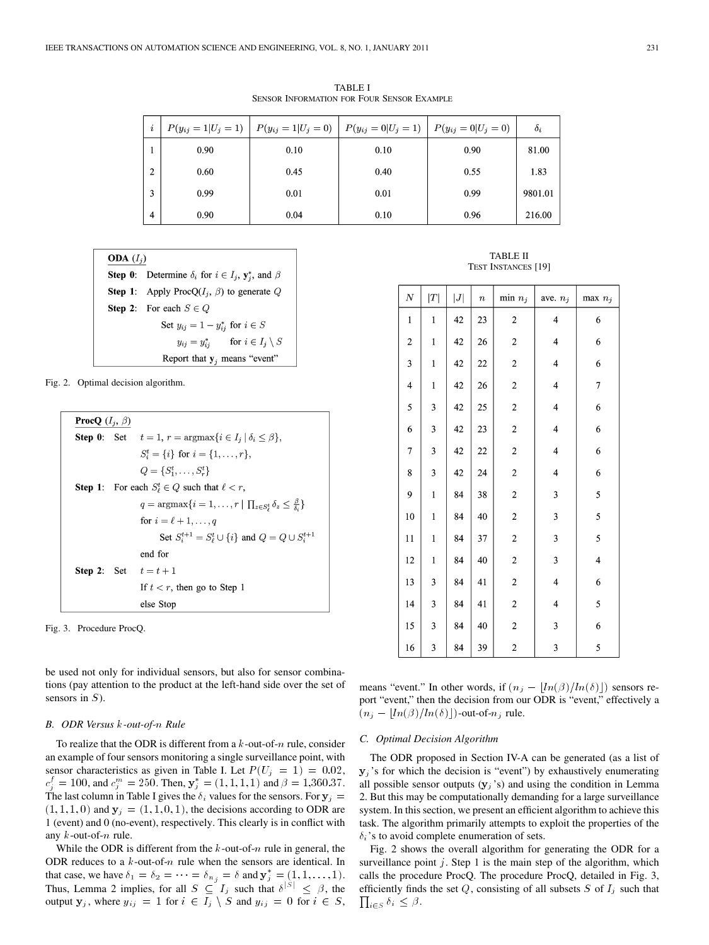TABLE I SENSOR INFORMATION FOR FOUR SENSOR EXAMPLE

| i              |      | $P(y_{ij} = 1 U_j = 1)   P(y_{ij} = 1 U_j = 0)   P(y_{ij} = 0 U_j = 1)   P(y_{ij} = 0 U_j = 0)$ |      |      | $\delta_i$ |
|----------------|------|-------------------------------------------------------------------------------------------------|------|------|------------|
|                | 0.90 | 0.10                                                                                            | 0.10 | 0.90 | 81.00      |
| $\overline{2}$ | 0.60 | 0.45                                                                                            | 0.40 | 0.55 | 1.83       |
| 3              | 0.99 | 0.01                                                                                            | 0.01 | 0.99 | 9801.01    |
| $\overline{4}$ | 0.90 | 0.04                                                                                            | 0.10 | 0.96 | 216.00     |

| <b>ODA</b> $(I_i)$ |                                                                             |  |  |
|--------------------|-----------------------------------------------------------------------------|--|--|
|                    | <b>Step 0:</b> Determine $\delta_i$ for $i \in I_j$ , $y_i^*$ , and $\beta$ |  |  |
|                    | <b>Step 1:</b> Apply Proc $Q(I_i, \beta)$ to generate Q                     |  |  |
|                    | <b>Step 2:</b> For each $S \in Q$                                           |  |  |
|                    | Set $y_{ii} = 1 - y_{ii}^*$ for $i \in S$                                   |  |  |
|                    | $y_{ij} = y_{ij}^*$ for $i \in I_i \setminus S$                             |  |  |
|                    | Report that $y_i$ means "event"                                             |  |  |

Fig. 2. Optimal decision algorithm.

| <b>ProcQ</b> $(I_i, \beta)$ |         |                                                                                                               |  |  |
|-----------------------------|---------|---------------------------------------------------------------------------------------------------------------|--|--|
|                             |         | <b>Step 0:</b> Set $t = 1$ , $r = \text{argmax}\{i \in I_i   \delta_i \leq \beta\}$ ,                         |  |  |
|                             |         | $S_i^t = \{i\}$ for $i = \{1, , r\}$ ,                                                                        |  |  |
|                             |         | $Q = \{S_1^t, \ldots, S_r^t\}$                                                                                |  |  |
|                             |         | <b>Step 1:</b> For each $S^t_{\ell} \in Q$ such that $\ell < r$ ,                                             |  |  |
|                             |         | $q = \operatorname{argmax} \{ i = 1, \ldots, r \mid \prod_{z \in S_i^t} \delta_z \leq \frac{\rho}{\delta} \}$ |  |  |
|                             |         | for $i = \ell + 1, \ldots, a$                                                                                 |  |  |
|                             |         | Set $S_i^{t+1} = S_i^t \cup \{i\}$ and $Q = Q \cup S_i^{t+1}$                                                 |  |  |
|                             | end for |                                                                                                               |  |  |
|                             |         | <b>Step 2:</b> Set $t = t + 1$                                                                                |  |  |
|                             |         | If $t < r$ , then go to Step 1                                                                                |  |  |
|                             |         | else Ston                                                                                                     |  |  |

Fig. 3. Procedure ProcQ.

be used not only for individual sensors, but also for sensor combinations (pay attention to the product at the left-hand side over the set of sensors in  $S$ ).

## **B.** ODR Versus k-out-of-n Rule

To realize that the ODR is different from a  $k$ -out-of- $n$  rule, consider an example of four sensors monitoring a single surveillance point, with sensor characteristics as given in Table I. Let  $P(U_j = 1) = 0.02$ ,  $c_j^f = 100$ , and  $c_j^m = 250$ . Then,  $y_j^* = (1, 1, 1, 1)$  and  $\beta = 1,360.37$ . The last column in Table I gives the  $\delta_i$  values for the sensors. For  $y_j =$  $(1, 1, 1, 0)$  and  $y_j = (1, 1, 0, 1)$ , the decisions according to ODR are 1 (event) and 0 (no-event), respectively. This clearly is in conflict with any  $k$ -out-of- $n$  rule.

While the ODR is different from the  $k$ -out-of- $n$  rule in general, the ODR reduces to a  $k$ -out-of-n rule when the sensors are identical. In that case, we have  $\delta_1 = \delta_2 = \cdots = \delta_{n_i} = \delta$  and  $\mathbf{y}_j^* = (1, 1, \dots, 1)$ . Thus, Lemma 2 implies, for all  $S \subseteq I_j$  such that  $\delta^{|S|} \leq \beta$ , the output  $y_j$ , where  $y_{ij} = 1$  for  $i \in I_j \setminus S$  and  $y_{ij} = 0$  for  $i \in S$ ,

TABLE II TEST INSTANCES [19]

| $\boldsymbol{N}$        | T                       | J  | $\boldsymbol{n}$ | $min n_j$               | ave. $n_i$              | $max n_i$               |
|-------------------------|-------------------------|----|------------------|-------------------------|-------------------------|-------------------------|
| $\mathbf{1}$            | $\mathbf{1}$            | 42 | 23               | $\overline{\mathbf{c}}$ | $\overline{\mathbf{4}}$ | 6                       |
| $\overline{\mathbf{c}}$ | $\mathbf{1}$            | 42 | 26               | $\overline{c}$          | $\overline{\mathbf{4}}$ | 6                       |
| 3                       | $\mathbf{1}$            | 42 | $22\,$           | $\overline{c}$          | $\overline{\mathbf{4}}$ | 6                       |
| $\overline{\mathbf{4}}$ | $\mathbf{1}$            | 42 | 26               | $\overline{\mathbf{c}}$ | $\overline{\mathbf{4}}$ | $\overline{7}$          |
| 5                       | $\overline{\mathbf{3}}$ | 42 | 25               | $\overline{\mathbf{c}}$ | $\overline{\mathbf{4}}$ | 6                       |
| 6                       | 3                       | 42 | 23               | $\overline{\mathbf{c}}$ | $\overline{\mathbf{4}}$ | 6                       |
| $\overline{7}$          | $\overline{\mathbf{3}}$ | 42 | $22\,$           | $\overline{c}$          | $\overline{\mathbf{4}}$ | 6                       |
| 8                       | 3                       | 42 | 24               | $\overline{c}$          | $\overline{\mathbf{4}}$ | 6                       |
| 9                       | $\mathbf{1}$            | 84 | 38               | $\overline{\mathbf{c}}$ | 3                       | 5                       |
| 10                      | $\mathbf{1}$            | 84 | 40               | $\overline{\mathbf{c}}$ | 3                       | 5                       |
| 11                      | $\mathbf{1}$            | 84 | 37               | $\overline{\mathbf{c}}$ | $\overline{\mathbf{3}}$ | 5                       |
| 12                      | $\mathbf{1}$            | 84 | 40               | $\overline{c}$          | $\overline{\mathbf{3}}$ | $\overline{\mathbf{4}}$ |
| 13                      | 3                       | 84 | 41               | $\overline{\mathbf{c}}$ | $\overline{\mathbf{4}}$ | 6                       |
| 14                      | 3                       | 84 | 41               | $\overline{\mathbf{c}}$ | $\overline{4}$          | 5                       |
| 15                      | 3                       | 84 | 40               | $\sqrt{2}$              | $\overline{\mathbf{3}}$ | 6                       |
| 16                      | $\overline{\mathbf{3}}$ | 84 | 39               | $\overline{\mathbf{c}}$ | 3                       | 5                       |

means "event." In other words, if  $(n_j - \lfloor ln(\beta)/ln(\delta) \rfloor)$  sensors report "event," then the decision from our ODR is "event," effectively a  $(n_j - \lfloor ln(\beta)/ln(\delta) \rfloor)$ -out-of- $n_j$  rule.

## *C. Optimal Decision Algorithm*

The ODR proposed in Section IV-A can be generated (as a list of  $y_i$ 's for which the decision is "event") by exhaustively enumerating all possible sensor outputs  $(y_i)$  and using the condition in Lemma 2. But this may be computationally demanding for a large surveillance system. In this section, we present an efficient algorithm to achieve this task. The algorithm primarily attempts to exploit the properties of the  $\delta_i$ 's to avoid complete enumeration of sets.

Fig. 2 shows the overall algorithm for generating the ODR for a surveillance point  $j$ . Step 1 is the main step of the algorithm, which calls the procedure ProcQ. The procedure ProcQ, detailed in Fig. 3, efficiently finds the set  $Q$ , consisting of all subsets  $S$  of  $I_j$  such that  $\sum_{i \in S} \delta_i \leq \beta.$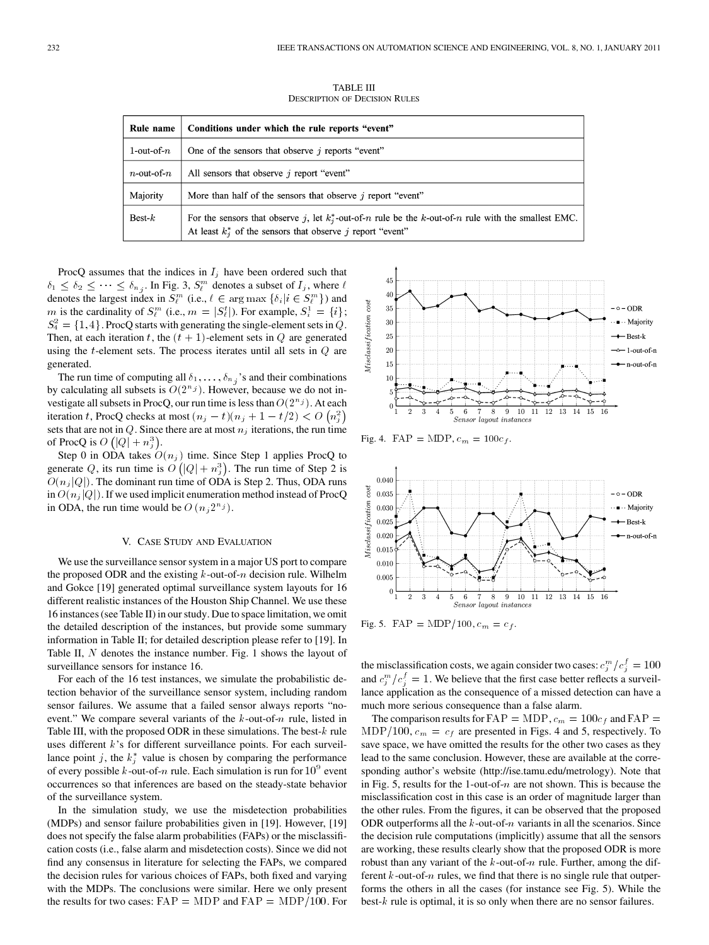TABLE III DESCRIPTION OF DECISION RULES

| Rule name                                                                     | Conditions under which the rule reports "event"                                                                                                                           |  |
|-------------------------------------------------------------------------------|---------------------------------------------------------------------------------------------------------------------------------------------------------------------------|--|
| 1-out-of- $n$<br>One of the sensors that observe $\dot{\eta}$ reports "event" |                                                                                                                                                                           |  |
| $n$ -out-of- $n$<br>All sensors that observe $i$ report "event"               |                                                                                                                                                                           |  |
| Majority                                                                      | More than half of the sensors that observe $i$ report "event"                                                                                                             |  |
| $Best-k$                                                                      | For the sensors that observe j, let $k_j^*$ -out-of-n rule be the k-out-of-n rule with the smallest EMC.<br>At least $k_i^*$ of the sensors that observe j report "event" |  |

ProcQ assumes that the indices in  $I_i$  have been ordered such that  $\delta_1 \leq \delta_2 \leq \cdots \leq \delta_{n_j}$ . In Fig. 3,  $S_\ell^m$  denotes a subset of  $I_j$ , where  $\ell$ denotes the largest index in  $S_{\ell}^{m}$  (i.e.,  $\ell \in \arg \max \{\delta_i | i \in S_{\ell}^{m}\}\)$  and m is the cardinality of  $S_{\ell}^{m}$  (i.e.,  $m = |S_{\ell}^{t}|$ ). For example,  $S_{i}^{1} = \{i\};$  $S_4^2 = \{1, 4\}$ . ProcQ starts with generating the single-element sets in Q. Then, at each iteration t, the  $(t + 1)$ -element sets in  $Q$  are generated using the  $t$ -element sets. The process iterates until all sets in  $Q$  are generated.

The run time of computing all  $\delta_1, \ldots, \delta_{n_i}$ 's and their combinations by calculating all subsets is  $O(2^{n_j})$ . However, because we do not investigate all subsets in ProcQ, our run time is less than  $O(2^{n_j})$ . At each iteration t, ProcQ checks at most  $(n_j - t)(n_j + 1 - t/2) < O\left(n_j^2\right)$ sets that are not in  $Q$ . Since there are at most  $n_i$  iterations, the run time of ProcQ is  $O(|Q| + n_j^3)$ .

Step 0 in ODA takes  $O(n_j)$  time. Since Step 1 applies ProcQ to generate Q, its run time is  $O(|Q| + n_j^3)$ . The run time of Step 2 is  $O(n_j|Q|)$ . The dominant run time of ODA is Step 2. Thus, ODA runs in  $O(n_j|Q|)$ . If we used implicit enumeration method instead of ProcQ in ODA, the run time would be  $O(n_j 2^{n_j})$ .

#### V. CASE STUDY AND EVALUATION

We use the surveillance sensor system in a major US port to compare the proposed ODR and the existing  $k$ -out-of- $n$  decision rule. Wilhelm and Gokce [19] generated optimal surveillance system layouts for 16 different realistic instances of the Houston Ship Channel. We use these 16 instances (see Table II) in our study. Due to space limitation, we omit the detailed description of the instances, but provide some summary information in Table II; for detailed description please refer to [19]. In Table II,  $N$  denotes the instance number. Fig. 1 shows the layout of surveillance sensors for instance 16.

For each of the 16 test instances, we simulate the probabilistic detection behavior of the surveillance sensor system, including random sensor failures. We assume that a failed sensor always reports "noevent." We compare several variants of the  $k$ -out-of- $n$  rule, listed in Table III, with the proposed ODR in these simulations. The best- $k$  rule uses different  $k$ 's for different surveillance points. For each surveillance point j, the  $k_j^*$  value is chosen by comparing the performance of every possible k-out-of-n rule. Each simulation is run for  $10^9$  event occurrences so that inferences are based on the steady-state behavior of the surveillance system.

In the simulation study, we use the misdetection probabilities (MDPs) and sensor failure probabilities given in [19]. However, [19] does not specify the false alarm probabilities (FAPs) or the misclassification costs (i.e., false alarm and misdetection costs). Since we did not find any consensus in literature for selecting the FAPs, we compared the decision rules for various choices of FAPs, both fixed and varying with the MDPs. The conclusions were similar. Here we only present the results for two cases:  $FAP = MDP$  and  $FAP = MDP/100$ . For



Fig. 4.  $FAP = MDP, c_m = 100c_f.$ 



Fig. 5. FAP = MDP/100,  $c_m = c_f$ .

the misclassification costs, we again consider two cases:  $c_j^m/c_j^f = 100$ and  $c_j^m/c_j^f = 1$ . We believe that the first case better reflects a surveillance application as the consequence of a missed detection can have a much more serious consequence than a false alarm.

The comparison results for  $FAP = MDP$ ,  $c_m = 100c_f$  and  $FAP =$  $MDP/100$ ,  $c_m = c_f$  are presented in Figs. 4 and 5, respectively. To save space, we have omitted the results for the other two cases as they lead to the same conclusion. However, these are available at the corresponding author's website (http://ise.tamu.edu/metrology). Note that in Fig. 5, results for the 1-out-of- $n$  are not shown. This is because the misclassification cost in this case is an order of magnitude larger than the other rules. From the figures, it can be observed that the proposed ODR outperforms all the  $k$ -out-of- $n$  variants in all the scenarios. Since the decision rule computations (implicitly) assume that all the sensors are working, these results clearly show that the proposed ODR is more robust than any variant of the  $k$ -out-of- $n$  rule. Further, among the different  $k$ -out-of- $n$  rules, we find that there is no single rule that outperforms the others in all the cases (for instance see Fig. 5). While the best- $k$  rule is optimal, it is so only when there are no sensor failures.